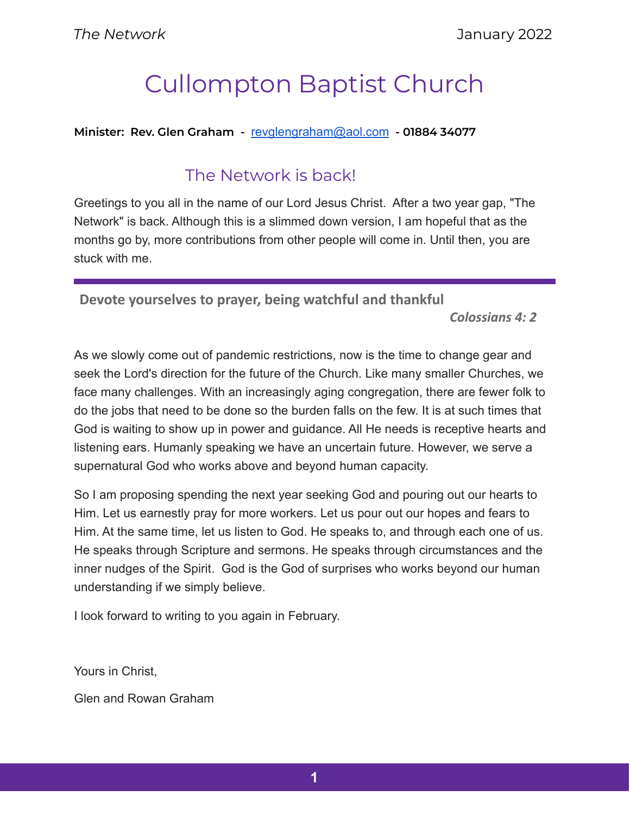# Cullompton Baptist Church

#### **Minister: Rev. Glen Graham -** [revglengraham@aol.com](mailto:revglengraham@aol.com) **- 01884 34077**

# The Network is back!

Greetings to you all in the name of our Lord Jesus Christ. After a two year gap, "The Network" is back. Although this is a slimmed down version, I am hopeful that as the months go by, more contributions from other people will come in. Until then, you are stuck with me.

**Devote yourselves to prayer, being watchful and thankful**

*Colossians 4: 2*

As we slowly come out of pandemic restrictions, now is the time to change gear and seek the Lord's direction for the future of the Church. Like many smaller Churches, we face many challenges. With an increasingly aging congregation, there are fewer folk to do the jobs that need to be done so the burden falls on the few. It is at such times that God is waiting to show up in power and guidance. All He needs is receptive hearts and listening ears. Humanly speaking we have an uncertain future. However, we serve a supernatural God who works above and beyond human capacity.

So I am proposing spending the next year seeking God and pouring out our hearts to Him. Let us earnestly pray for more workers. Let us pour out our hopes and fears to Him. At the same time, let us listen to God. He speaks to, and through each one of us. He speaks through Scripture and sermons. He speaks through circumstances and the inner nudges of the Spirit. God is the God of surprises who works beyond our human understanding if we simply believe.

I look forward to writing to you again in February.

Yours in Christ,

Glen and Rowan Graham